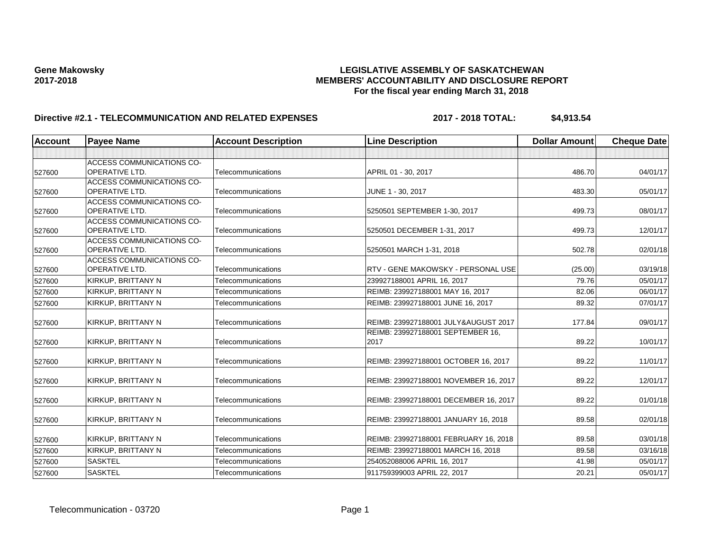### **Gene Makowsky LEGISLATIVE ASSEMBLY OF SASKATCHEWAN 2017-2018 MEMBERS' ACCOUNTABILITY AND DISCLOSURE REPORT For the fiscal year ending March 31, 2018**

# **Directive #2.1 - TELECOMMUNICATION AND RELATED EXPENSES 2017 - 2018 TOTAL: \$4,913.54**

| <b>Account</b> | <b>Payee Name</b>                                  | <b>Account Description</b> | <b>Line Description</b>                   | <b>Dollar Amount</b> | <b>Cheque Date</b> |
|----------------|----------------------------------------------------|----------------------------|-------------------------------------------|----------------------|--------------------|
|                |                                                    |                            |                                           |                      |                    |
|                | ACCESS COMMUNICATIONS CO-                          |                            |                                           |                      |                    |
| 527600         | <b>OPERATIVE LTD.</b>                              | Telecommunications         | APRIL 01 - 30, 2017                       | 486.70               | 04/01/17           |
|                | <b>ACCESS COMMUNICATIONS CO-</b>                   |                            |                                           |                      |                    |
| 527600         | <b>OPERATIVE LTD.</b>                              | Telecommunications         | JUNE 1 - 30, 2017                         | 483.30               | 05/01/17           |
|                | ACCESS COMMUNICATIONS CO-                          |                            |                                           |                      |                    |
| 527600         | OPERATIVE LTD.                                     | Telecommunications         | 5250501 SEPTEMBER 1-30, 2017              | 499.73               | 08/01/17           |
|                | ACCESS COMMUNICATIONS CO-<br><b>OPERATIVE LTD.</b> | Telecommunications         |                                           | 499.73               | 12/01/17           |
| 527600         | ACCESS COMMUNICATIONS CO-                          |                            | 5250501 DECEMBER 1-31, 2017               |                      |                    |
| 527600         | OPERATIVE LTD.                                     | Telecommunications         | 5250501 MARCH 1-31, 2018                  | 502.78               | 02/01/18           |
|                | ACCESS COMMUNICATIONS CO-                          |                            |                                           |                      |                    |
| 527600         | <b>OPERATIVE LTD.</b>                              | Telecommunications         | RTV - GENE MAKOWSKY - PERSONAL USE        | (25.00)              | 03/19/18           |
| 527600         | KIRKUP, BRITTANY N                                 | Telecommunications         | 239927188001 APRIL 16, 2017               | 79.76                | 05/01/17           |
| 527600         | KIRKUP, BRITTANY N                                 | Telecommunications         | REIMB: 239927188001 MAY 16, 2017          | 82.06                | 06/01/17           |
| 527600         | KIRKUP, BRITTANY N                                 | Telecommunications         | REIMB: 239927188001 JUNE 16, 2017         | 89.32                | 07/01/17           |
|                |                                                    | <b>Telecommunications</b>  | REIMB: 239927188001 JULY&AUGUST 2017      | 177.84               | 09/01/17           |
| 527600         | KIRKUP, BRITTANY N                                 |                            |                                           |                      |                    |
| 527600         | KIRKUP, BRITTANY N                                 | <b>Telecommunications</b>  | REIMB: 239927188001 SEPTEMBER 16,<br>2017 | 89.22                | 10/01/17           |
|                |                                                    |                            |                                           |                      |                    |
| 527600         | KIRKUP, BRITTANY N                                 | Telecommunications         | REIMB: 239927188001 OCTOBER 16, 2017      | 89.22                | 11/01/17           |
|                |                                                    |                            |                                           |                      |                    |
| 527600         | KIRKUP, BRITTANY N                                 | Telecommunications         | REIMB: 239927188001 NOVEMBER 16, 2017     | 89.22                | 12/01/17           |
| 527600         | KIRKUP, BRITTANY N                                 | Telecommunications         | REIMB: 239927188001 DECEMBER 16, 2017     | 89.22                | 01/01/18           |
|                |                                                    |                            |                                           |                      |                    |
| 527600         | KIRKUP, BRITTANY N                                 | Telecommunications         | REIMB: 239927188001 JANUARY 16, 2018      | 89.58                | 02/01/18           |
| 527600         | KIRKUP, BRITTANY N                                 | Telecommunications         | REIMB: 239927188001 FEBRUARY 16, 2018     | 89.58                | 03/01/18           |
| 527600         | KIRKUP, BRITTANY N                                 | Telecommunications         | REIMB: 239927188001 MARCH 16, 2018        | 89.58                | 03/16/18           |
| 527600         | <b>SASKTEL</b>                                     | Telecommunications         | 254052088006 APRIL 16, 2017               | 41.98                | 05/01/17           |
| 527600         | <b>SASKTEL</b>                                     | Telecommunications         | 911759399003 APRIL 22, 2017               | 20.21                | 05/01/17           |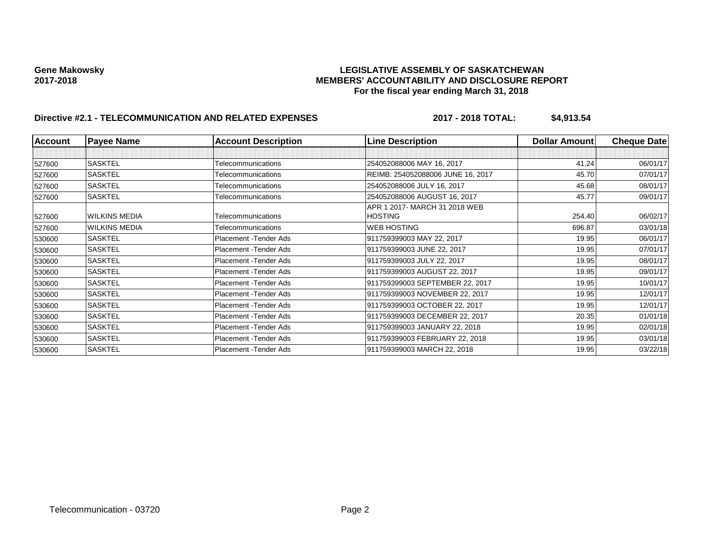### **Gene Makowsky LEGISLATIVE ASSEMBLY OF SASKATCHEWAN 2017-2018 MEMBERS' ACCOUNTABILITY AND DISCLOSURE REPORT For the fiscal year ending March 31, 2018**

# **Directive #2.1 - TELECOMMUNICATION AND RELATED EXPENSES 2017 - 2018 TOTAL: \$4,913.54**

| <b>Account</b> | <b>Payee Name</b>    | <b>Account Description</b> | <b>Line Description</b>           | Dollar Amount | <b>Cheque Date</b> |
|----------------|----------------------|----------------------------|-----------------------------------|---------------|--------------------|
|                |                      |                            |                                   |               |                    |
| 527600         | <b>SASKTEL</b>       | Telecommunications         | 254052088006 MAY 16, 2017         | 41.24         | 06/01/17           |
| 527600         | <b>SASKTEL</b>       | Telecommunications         | REIMB: 254052088006 JUNE 16, 2017 | 45.70         | 07/01/17           |
| 527600         | <b>SASKTEL</b>       | Telecommunications         | 254052088006 JULY 16, 2017        | 45.68         | 08/01/17           |
| 527600         | <b>SASKTEL</b>       | Telecommunications         | 254052088006 AUGUST 16, 2017      | 45.77         | 09/01/17           |
|                |                      |                            | APR 1 2017- MARCH 31 2018 WEB     |               |                    |
| 527600         | <b>WILKINS MEDIA</b> | Telecommunications         | <b>HOSTING</b>                    | 254.40        | 06/02/17           |
| 527600         | <b>WILKINS MEDIA</b> | Telecommunications         | <b>WEB HOSTING</b>                | 696.87        | 03/01/18           |
| 530600         | <b>SASKTEL</b>       | Placement - Tender Ads     | 911759399003 MAY 22, 2017         | 19.95         | 06/01/17           |
| 530600         | <b>SASKTEL</b>       | Placement - Tender Ads     | 911759399003 JUNE 22, 2017        | 19.95         | 07/01/17           |
| 530600         | <b>SASKTEL</b>       | Placement - Tender Ads     | 911759399003 JULY 22, 2017        | 19.95         | 08/01/17           |
| 530600         | <b>SASKTEL</b>       | Placement - Tender Ads     | 911759399003 AUGUST 22, 2017      | 19.95         | 09/01/17           |
| 530600         | <b>SASKTEL</b>       | Placement - Tender Ads     | 911759399003 SEPTEMBER 22, 2017   | 19.95         | 10/01/17           |
| 530600         | <b>SASKTEL</b>       | Placement - Tender Ads     | 911759399003 NOVEMBER 22, 2017    | 19.95         | 12/01/17           |
| 530600         | <b>SASKTEL</b>       | Placement - Tender Ads     | 911759399003 OCTOBER 22, 2017     | 19.95         | 12/01/17           |
| 530600         | <b>SASKTEL</b>       | Placement - Tender Ads     | 911759399003 DECEMBER 22, 2017    | 20.35         | 01/01/18           |
| 530600         | <b>SASKTEL</b>       | Placement - Tender Ads     | 911759399003 JANUARY 22, 2018     | 19.95         | 02/01/18           |
| 530600         | <b>SASKTEL</b>       | Placement - Tender Ads     | 911759399003 FEBRUARY 22, 2018    | 19.95         | 03/01/18           |
| 530600         | <b>SASKTEL</b>       | Placement - Tender Ads     | 911759399003 MARCH 22, 2018       | 19.95         | 03/22/18           |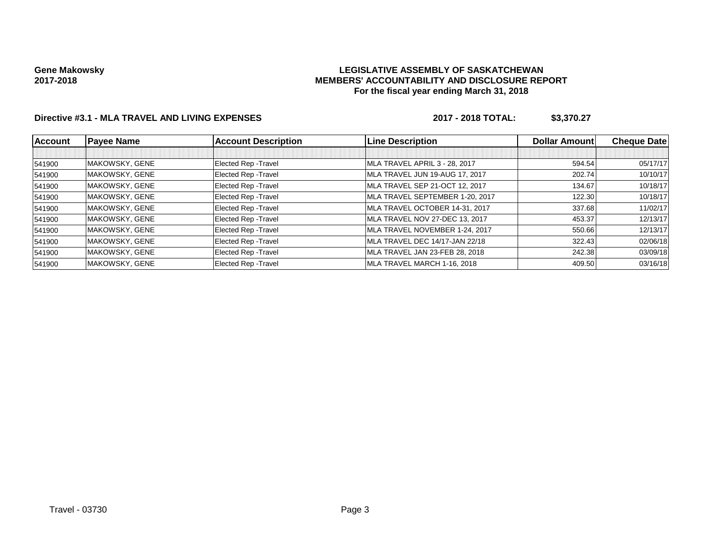### **LEGISLATIVE ASSEMBLY OF SASKATCHEWAN MEMBERS' ACCOUNTABILITY AND DISCLOSURE REPORT For the fiscal year ending March 31, 2018**

## **Directive #3.1 - MLA TRAVEL AND LIVING EXPENSES 2017 - 2018 TOTAL: \$3,370.27**

| <b>Account</b> | <b>Payee Name</b> | <b>Account Description</b>  | <b>Line Description</b>         | <b>Dollar Amount</b> | <b>Cheque Date</b> |
|----------------|-------------------|-----------------------------|---------------------------------|----------------------|--------------------|
|                |                   |                             |                                 |                      |                    |
| 541900         | MAKOWSKY, GENE    | Elected Rep - Travel        | MLA TRAVEL APRIL 3 - 28, 2017   | 594.54               | 05/17/17           |
| 541900         | MAKOWSKY, GENE    | Elected Rep - Travel        | MLA TRAVEL JUN 19-AUG 17, 2017  | 202.74               | 10/10/17           |
| 541900         | MAKOWSKY, GENE    | Elected Rep - Travel        | MLA TRAVEL SEP 21-OCT 12, 2017  | 134.67               | 10/18/17           |
| 541900         | MAKOWSKY, GENE    | Elected Rep - Travel        | MLA TRAVEL SEPTEMBER 1-20, 2017 | 122.30               | 10/18/17           |
| 541900         | MAKOWSKY, GENE    | Elected Rep - Travel        | MLA TRAVEL OCTOBER 14-31, 2017  | 337.68               | 11/02/17           |
| 541900         | MAKOWSKY, GENE    | <b>Elected Rep - Travel</b> | MLA TRAVEL NOV 27-DEC 13, 2017  | 453.37               | 12/13/17           |
| 541900         | MAKOWSKY, GENE    | Elected Rep - Travel        | MLA TRAVEL NOVEMBER 1-24, 2017  | 550.66               | 12/13/17           |
| 541900         | MAKOWSKY, GENE    | Elected Rep - Travel        | MLA TRAVEL DEC 14/17-JAN 22/18  | 322.43               | 02/06/18           |
| 541900         | MAKOWSKY, GENE    | Elected Rep - Travel        | MLA TRAVEL JAN 23-FEB 28, 2018  | 242.38               | 03/09/18           |
| 541900         | MAKOWSKY, GENE    | Elected Rep - Travel        | MLA TRAVEL MARCH 1-16, 2018     | 409.50               | 03/16/18           |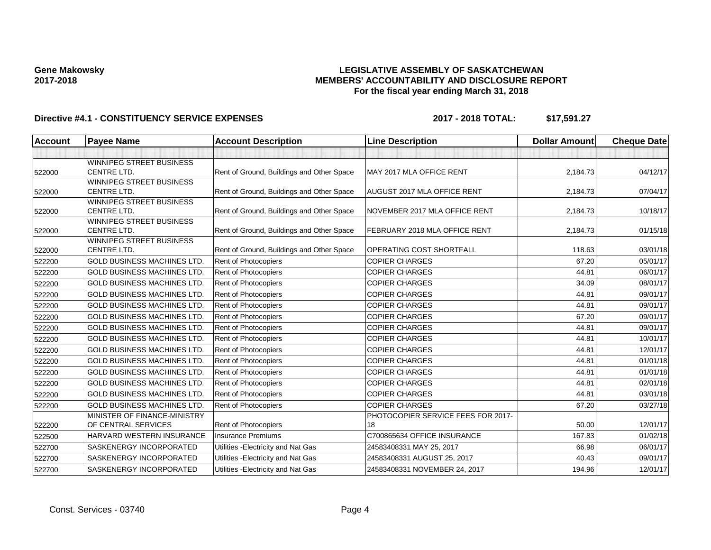### **LEGISLATIVE ASSEMBLY OF SASKATCHEWAN MEMBERS' ACCOUNTABILITY AND DISCLOSURE REPORT For the fiscal year ending March 31, 2018**

| Account | <b>Payee Name</b>                              | <b>Account Description</b>                | <b>Line Description</b>            | <b>Dollar Amount</b> | <b>Cheque Date</b> |
|---------|------------------------------------------------|-------------------------------------------|------------------------------------|----------------------|--------------------|
|         |                                                |                                           |                                    |                      |                    |
| 522000  | WINNIPEG STREET BUSINESS<br><b>CENTRE LTD.</b> | Rent of Ground, Buildings and Other Space | MAY 2017 MLA OFFICE RENT           | 2,184.73             | 04/12/17           |
|         | WINNIPEG STREET BUSINESS                       |                                           |                                    |                      |                    |
| 522000  | <b>CENTRE LTD.</b>                             | Rent of Ground, Buildings and Other Space | <b>AUGUST 2017 MLA OFFICE RENT</b> | 2,184.73             | 07/04/17           |
|         | WINNIPEG STREET BUSINESS                       |                                           |                                    |                      |                    |
| 522000  | CENTRE LTD.                                    | Rent of Ground, Buildings and Other Space | NOVEMBER 2017 MLA OFFICE RENT      | 2,184.73             | 10/18/17           |
|         | <b>WINNIPEG STREET BUSINESS</b>                |                                           |                                    |                      |                    |
| 522000  | <b>CENTRE LTD.</b>                             | Rent of Ground, Buildings and Other Space | FEBRUARY 2018 MLA OFFICE RENT      | 2,184.73             | 01/15/18           |
|         | WINNIPEG STREET BUSINESS                       |                                           |                                    |                      |                    |
| 522000  | <b>CENTRE LTD.</b>                             | Rent of Ground, Buildings and Other Space | OPERATING COST SHORTFALL           | 118.63               | 03/01/18           |
| 522200  | <b>GOLD BUSINESS MACHINES LTD.</b>             | Rent of Photocopiers                      | <b>COPIER CHARGES</b>              | 67.20                | 05/01/17           |
| 522200  | <b>GOLD BUSINESS MACHINES LTD.</b>             | <b>Rent of Photocopiers</b>               | <b>COPIER CHARGES</b>              | 44.81                | 06/01/17           |
| 522200  | <b>GOLD BUSINESS MACHINES LTD.</b>             | Rent of Photocopiers                      | <b>COPIER CHARGES</b>              | 34.09                | 08/01/17           |
| 522200  | <b>GOLD BUSINESS MACHINES LTD.</b>             | Rent of Photocopiers                      | <b>COPIER CHARGES</b>              | 44.81                | 09/01/17           |
| 522200  | <b>GOLD BUSINESS MACHINES LTD.</b>             | Rent of Photocopiers                      | <b>COPIER CHARGES</b>              | 44.81                | 09/01/17           |
| 522200  | <b>GOLD BUSINESS MACHINES LTD.</b>             | Rent of Photocopiers                      | <b>COPIER CHARGES</b>              | 67.20                | 09/01/17           |
| 522200  | <b>GOLD BUSINESS MACHINES LTD.</b>             | <b>Rent of Photocopiers</b>               | <b>COPIER CHARGES</b>              | 44.81                | 09/01/17           |
| 522200  | <b>GOLD BUSINESS MACHINES LTD.</b>             | <b>Rent of Photocopiers</b>               | <b>COPIER CHARGES</b>              | 44.81                | 10/01/17           |
| 522200  | <b>GOLD BUSINESS MACHINES LTD.</b>             | Rent of Photocopiers                      | <b>COPIER CHARGES</b>              | 44.81                | 12/01/17           |
| 522200  | <b>GOLD BUSINESS MACHINES LTD.</b>             | <b>Rent of Photocopiers</b>               | <b>COPIER CHARGES</b>              | 44.81                | 01/01/18           |
| 522200  | <b>GOLD BUSINESS MACHINES LTD.</b>             | Rent of Photocopiers                      | <b>COPIER CHARGES</b>              | 44.81                | 01/01/18           |
| 522200  | <b>GOLD BUSINESS MACHINES LTD.</b>             | <b>Rent of Photocopiers</b>               | <b>COPIER CHARGES</b>              | 44.81                | 02/01/18           |
| 522200  | <b>GOLD BUSINESS MACHINES LTD.</b>             | Rent of Photocopiers                      | <b>COPIER CHARGES</b>              | 44.81                | 03/01/18           |
| 522200  | <b>GOLD BUSINESS MACHINES LTD.</b>             | Rent of Photocopiers                      | <b>COPIER CHARGES</b>              | 67.20                | 03/27/18           |
|         | MINISTER OF FINANCE-MINISTRY                   |                                           | PHOTOCOPIER SERVICE FEES FOR 2017- |                      |                    |
| 522200  | OF CENTRAL SERVICES                            | Rent of Photocopiers                      | 18                                 | 50.00                | 12/01/17           |
| 522500  | HARVARD WESTERN INSURANCE                      | <b>Insurance Premiums</b>                 | C700865634 OFFICE INSURANCE        | 167.83               | 01/02/18           |
| 522700  | SASKENERGY INCORPORATED                        | Utilities - Electricity and Nat Gas       | 24583408331 MAY 25, 2017           | 66.98                | 06/01/17           |
| 522700  | SASKENERGY INCORPORATED                        | Utilities - Electricity and Nat Gas       | 24583408331 AUGUST 25, 2017        | 40.43                | 09/01/17           |
| 522700  | SASKENERGY INCORPORATED                        | Utilities - Electricity and Nat Gas       | 24583408331 NOVEMBER 24, 2017      | 194.96               | 12/01/17           |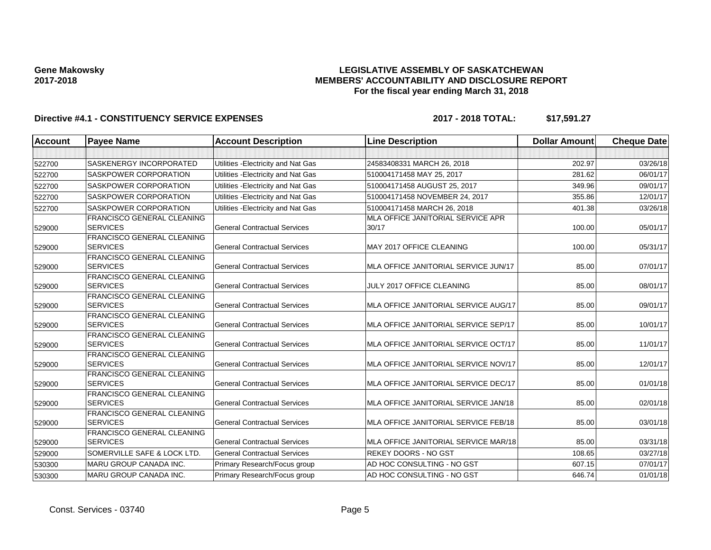### **LEGISLATIVE ASSEMBLY OF SASKATCHEWAN MEMBERS' ACCOUNTABILITY AND DISCLOSURE REPORT For the fiscal year ending March 31, 2018**

| <b>Account</b> | <b>Payee Name</b>                                    | <b>Account Description</b>          | <b>Line Description</b>                    | <b>Dollar Amount</b> | <b>Cheque Date</b> |
|----------------|------------------------------------------------------|-------------------------------------|--------------------------------------------|----------------------|--------------------|
|                |                                                      |                                     |                                            |                      |                    |
| 522700         | SASKENERGY INCORPORATED                              | Utilities - Electricity and Nat Gas | 24583408331 MARCH 26, 2018                 | 202.97               | 03/26/18           |
| 522700         | SASKPOWER CORPORATION                                | Utilities - Electricity and Nat Gas | 510004171458 MAY 25, 2017                  | 281.62               | 06/01/17           |
| 522700         | SASKPOWER CORPORATION                                | Utilities - Electricity and Nat Gas | 510004171458 AUGUST 25, 2017               | 349.96               | 09/01/17           |
| 522700         | <b>SASKPOWER CORPORATION</b>                         | Utilities - Electricity and Nat Gas | 510004171458 NOVEMBER 24, 2017             | 355.86               | 12/01/17           |
| 522700         | <b>SASKPOWER CORPORATION</b>                         | Utilities - Electricity and Nat Gas | 510004171458 MARCH 26, 2018                | 401.38               | 03/26/18           |
| 529000         | <b>FRANCISCO GENERAL CLEANING</b><br><b>SERVICES</b> | <b>General Contractual Services</b> | MLA OFFICE JANITORIAL SERVICE APR<br>30/17 | 100.00               | 05/01/17           |
| 529000         | FRANCISCO GENERAL CLEANING<br><b>SERVICES</b>        | <b>General Contractual Services</b> | MAY 2017 OFFICE CLEANING                   | 100.00               | 05/31/17           |
| 529000         | FRANCISCO GENERAL CLEANING<br><b>SERVICES</b>        | <b>General Contractual Services</b> | MLA OFFICE JANITORIAL SERVICE JUN/17       | 85.00                | 07/01/17           |
| 529000         | <b>FRANCISCO GENERAL CLEANING</b><br><b>SERVICES</b> | <b>General Contractual Services</b> | JULY 2017 OFFICE CLEANING                  | 85.00                | 08/01/17           |
| 529000         | <b>FRANCISCO GENERAL CLEANING</b><br><b>SERVICES</b> | <b>General Contractual Services</b> | MLA OFFICE JANITORIAL SERVICE AUG/17       | 85.00                | 09/01/17           |
| 529000         | FRANCISCO GENERAL CLEANING<br><b>SERVICES</b>        | <b>General Contractual Services</b> | MLA OFFICE JANITORIAL SERVICE SEP/17       | 85.00                | 10/01/17           |
| 529000         | <b>FRANCISCO GENERAL CLEANING</b><br><b>SERVICES</b> | <b>General Contractual Services</b> | MLA OFFICE JANITORIAL SERVICE OCT/17       | 85.00                | 11/01/17           |
| 529000         | <b>FRANCISCO GENERAL CLEANING</b><br><b>SERVICES</b> | <b>General Contractual Services</b> | MLA OFFICE JANITORIAL SERVICE NOV/17       | 85.00                | 12/01/17           |
| 529000         | <b>FRANCISCO GENERAL CLEANING</b><br><b>SERVICES</b> | <b>General Contractual Services</b> | MLA OFFICE JANITORIAL SERVICE DEC/17       | 85.00                | 01/01/18           |
| 529000         | <b>FRANCISCO GENERAL CLEANING</b><br><b>SERVICES</b> | <b>General Contractual Services</b> | MLA OFFICE JANITORIAL SERVICE JAN/18       | 85.00                | 02/01/18           |
| 529000         | FRANCISCO GENERAL CLEANING<br><b>SERVICES</b>        | <b>General Contractual Services</b> | MLA OFFICE JANITORIAL SERVICE FEB/18       | 85.00                | 03/01/18           |
| 529000         | <b>FRANCISCO GENERAL CLEANING</b><br><b>SERVICES</b> | <b>General Contractual Services</b> | MLA OFFICE JANITORIAL SERVICE MAR/18       | 85.00                | 03/31/18           |
| 529000         | SOMERVILLE SAFE & LOCK LTD.                          | <b>General Contractual Services</b> | <b>REKEY DOORS - NO GST</b>                | 108.65               | 03/27/18           |
| 530300         | <b>MARU GROUP CANADA INC.</b>                        | Primary Research/Focus group        | AD HOC CONSULTING - NO GST                 | 607.15               | 07/01/17           |
| 530300         | MARU GROUP CANADA INC.                               | Primary Research/Focus group        | AD HOC CONSULTING - NO GST                 | 646.74               | 01/01/18           |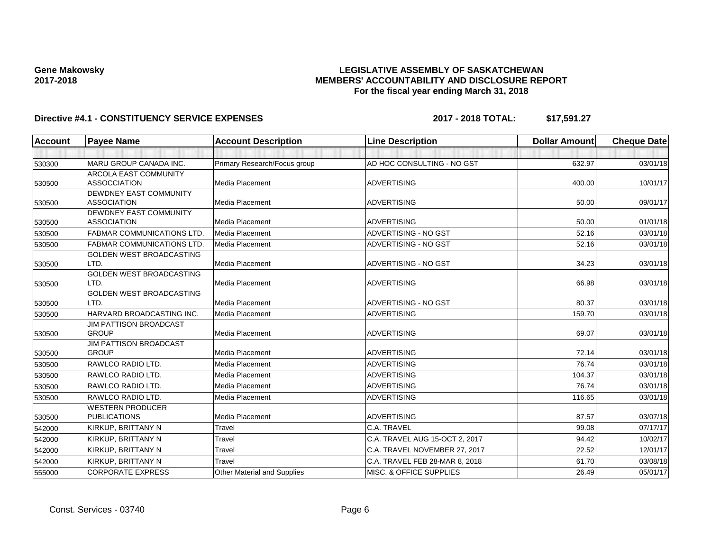### **LEGISLATIVE ASSEMBLY OF SASKATCHEWAN MEMBERS' ACCOUNTABILITY AND DISCLOSURE REPORT For the fiscal year ending March 31, 2018**

| <b>Account</b> | <b>Payee Name</b>                 | <b>Account Description</b>         | <b>Line Description</b>        | <b>Dollar Amount</b> | <b>Cheque Date</b> |
|----------------|-----------------------------------|------------------------------------|--------------------------------|----------------------|--------------------|
|                |                                   |                                    |                                |                      |                    |
| 530300         | <b>MARU GROUP CANADA INC.</b>     | Primary Research/Focus group       | AD HOC CONSULTING - NO GST     | 632.97               | 03/01/18           |
|                | <b>ARCOLA EAST COMMUNITY</b>      |                                    |                                |                      |                    |
| 530500         | <b>ASSOCCIATION</b>               | <b>Media Placement</b>             | <b>ADVERTISING</b>             | 400.00               | 10/01/17           |
|                | <b>DEWDNEY EAST COMMUNITY</b>     |                                    |                                |                      |                    |
| 530500         | <b>ASSOCIATION</b>                | <b>Media Placement</b>             | <b>ADVERTISING</b>             | 50.00                | 09/01/17           |
|                | DEWDNEY EAST COMMUNITY            |                                    |                                |                      |                    |
| 530500         | <b>ASSOCIATION</b>                | Media Placement                    | <b>ADVERTISING</b>             | 50.00                | 01/01/18           |
| 530500         | <b>FABMAR COMMUNICATIONS LTD.</b> | Media Placement                    | <b>ADVERTISING - NO GST</b>    | 52.16                | 03/01/18           |
| 530500         | <b>FABMAR COMMUNICATIONS LTD</b>  | Media Placement                    | ADVERTISING - NO GST           | 52.16                | 03/01/18           |
|                | <b>GOLDEN WEST BROADCASTING</b>   |                                    |                                |                      |                    |
| 530500         | LTD.                              | Media Placement                    | ADVERTISING - NO GST           | 34.23                | 03/01/18           |
|                | GOLDEN WEST BROADCASTING          |                                    |                                |                      |                    |
| 530500         | LTD.                              | Media Placement                    | <b>ADVERTISING</b>             | 66.98                | 03/01/18           |
|                | GOLDEN WEST BROADCASTING          |                                    |                                |                      |                    |
| 530500         | LTD.                              | <b>Media Placement</b>             | ADVERTISING - NO GST           | 80.37                | 03/01/18           |
| 530500         | HARVARD BROADCASTING INC.         | Media Placement                    | <b>ADVERTISING</b>             | 159.70               | 03/01/18           |
|                | <b>JIM PATTISON BROADCAST</b>     |                                    |                                |                      |                    |
| 530500         | <b>GROUP</b>                      | Media Placement                    | <b>ADVERTISING</b>             | 69.07                | 03/01/18           |
|                | <b>JIM PATTISON BROADCAST</b>     |                                    |                                |                      |                    |
| 530500         | <b>GROUP</b>                      | Media Placement                    | <b>ADVERTISING</b>             | 72.14                | 03/01/18           |
| 530500         | RAWLCO RADIO LTD.                 | Media Placement                    | <b>ADVERTISING</b>             | 76.74                | 03/01/18           |
| 530500         | RAWLCO RADIO LTD.                 | Media Placement                    | ADVERTISING                    | 104.37               | 03/01/18           |
| 530500         | RAWLCO RADIO LTD.                 | <b>Media Placement</b>             | <b>ADVERTISING</b>             | 76.74                | 03/01/18           |
| 530500         | RAWLCO RADIO LTD.                 | Media Placement                    | <b>ADVERTISING</b>             | 116.65               | 03/01/18           |
|                | <b>WESTERN PRODUCER</b>           |                                    |                                |                      |                    |
| 530500         | <b>PUBLICATIONS</b>               | <b>Media Placement</b>             | <b>ADVERTISING</b>             | 87.57                | 03/07/18           |
| 542000         | KIRKUP, BRITTANY N                | Travel                             | C.A. TRAVEL                    | 99.08                | 07/17/17           |
| 542000         | KIRKUP, BRITTANY N                | Travel                             | C.A. TRAVEL AUG 15-OCT 2, 2017 | 94.42                | 10/02/17           |
| 542000         | KIRKUP, BRITTANY N                | Travel                             | C.A. TRAVEL NOVEMBER 27, 2017  | 22.52                | 12/01/17           |
| 542000         | KIRKUP, BRITTANY N                | Travel                             | C.A. TRAVEL FEB 28-MAR 8, 2018 | 61.70                | 03/08/18           |
| 555000         | <b>CORPORATE EXPRESS</b>          | <b>Other Material and Supplies</b> | MISC. & OFFICE SUPPLIES        | 26.49                | 05/01/17           |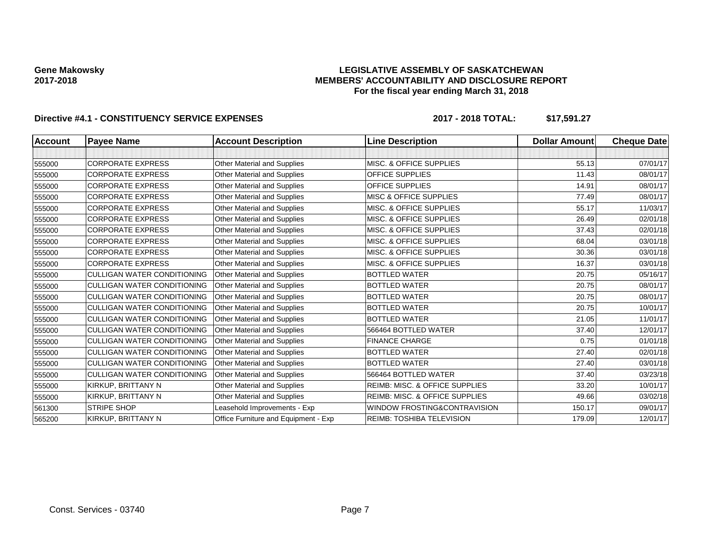### **LEGISLATIVE ASSEMBLY OF SASKATCHEWAN MEMBERS' ACCOUNTABILITY AND DISCLOSURE REPORT For the fiscal year ending March 31, 2018**

| Account | <b>Payee Name</b>                  | <b>Account Description</b>           | <b>Line Description</b>                   | <b>Dollar Amount</b> | <b>Cheque Date</b> |
|---------|------------------------------------|--------------------------------------|-------------------------------------------|----------------------|--------------------|
|         |                                    |                                      |                                           |                      |                    |
| 555000  | <b>CORPORATE EXPRESS</b>           | <b>Other Material and Supplies</b>   | <b>MISC. &amp; OFFICE SUPPLIES</b>        | 55.13                | 07/01/17           |
| 555000  | <b>CORPORATE EXPRESS</b>           | Other Material and Supplies          | <b>OFFICE SUPPLIES</b>                    | 11.43                | 08/01/17           |
| 555000  | <b>CORPORATE EXPRESS</b>           | Other Material and Supplies          | OFFICE SUPPLIES                           | 14.91                | 08/01/17           |
| 555000  | <b>CORPORATE EXPRESS</b>           | Other Material and Supplies          | <b>MISC &amp; OFFICE SUPPLIES</b>         | 77.49                | 08/01/17           |
| 555000  | <b>CORPORATE EXPRESS</b>           | Other Material and Supplies          | MISC. & OFFICE SUPPLIES                   | 55.17                | 11/03/17           |
| 555000  | <b>CORPORATE EXPRESS</b>           | Other Material and Supplies          | MISC. & OFFICE SUPPLIES                   | 26.49                | 02/01/18           |
| 555000  | <b>CORPORATE EXPRESS</b>           | Other Material and Supplies          | <b>MISC. &amp; OFFICE SUPPLIES</b>        | 37.43                | 02/01/18           |
| 555000  | <b>CORPORATE EXPRESS</b>           | Other Material and Supplies          | MISC. & OFFICE SUPPLIES                   | 68.04                | 03/01/18           |
| 555000  | <b>CORPORATE EXPRESS</b>           | Other Material and Supplies          | MISC. & OFFICE SUPPLIES                   | 30.36                | 03/01/18           |
| 555000  | <b>CORPORATE EXPRESS</b>           | Other Material and Supplies          | MISC. & OFFICE SUPPLIES                   | 16.37                | 03/01/18           |
| 555000  | <b>CULLIGAN WATER CONDITIONING</b> | Other Material and Supplies          | <b>BOTTLED WATER</b>                      | 20.75                | 05/16/17           |
| 555000  | <b>CULLIGAN WATER CONDITIONING</b> | Other Material and Supplies          | <b>BOTTLED WATER</b>                      | 20.75                | 08/01/17           |
| 555000  | <b>CULLIGAN WATER CONDITIONING</b> | <b>Other Material and Supplies</b>   | <b>BOTTLED WATER</b>                      | 20.75                | 08/01/17           |
| 555000  | <b>CULLIGAN WATER CONDITIONING</b> | Other Material and Supplies          | <b>BOTTLED WATER</b>                      | 20.75                | 10/01/17           |
| 555000  | <b>CULLIGAN WATER CONDITIONING</b> | <b>Other Material and Supplies</b>   | <b>BOTTLED WATER</b>                      | 21.05                | 11/01/17           |
| 555000  | <b>CULLIGAN WATER CONDITIONING</b> | Other Material and Supplies          | 566464 BOTTLED WATER                      | 37.40                | 12/01/17           |
| 555000  | <b>CULLIGAN WATER CONDITIONING</b> | Other Material and Supplies          | <b>FINANCE CHARGE</b>                     | 0.75                 | 01/01/18           |
| 555000  | <b>CULLIGAN WATER CONDITIONING</b> | Other Material and Supplies          | <b>BOTTLED WATER</b>                      | 27.40                | 02/01/18           |
| 555000  | <b>CULLIGAN WATER CONDITIONING</b> | <b>Other Material and Supplies</b>   | <b>BOTTLED WATER</b>                      | 27.40                | 03/01/18           |
| 555000  | <b>CULLIGAN WATER CONDITIONING</b> | Other Material and Supplies          | 566464 BOTTLED WATER                      | 37.40                | 03/23/18           |
| 555000  | KIRKUP, BRITTANY N                 | Other Material and Supplies          | <b>REIMB: MISC. &amp; OFFICE SUPPLIES</b> | 33.20                | 10/01/17           |
| 555000  | KIRKUP, BRITTANY N                 | Other Material and Supplies          | <b>REIMB: MISC. &amp; OFFICE SUPPLIES</b> | 49.66                | 03/02/18           |
| 561300  | <b>STRIPE SHOP</b>                 | Leasehold Improvements - Exp         | WINDOW FROSTING&CONTRAVISION              | 150.17               | 09/01/17           |
| 565200  | KIRKUP, BRITTANY N                 | Office Furniture and Equipment - Exp | REIMB: TOSHIBA TELEVISION                 | 179.09               | 12/01/17           |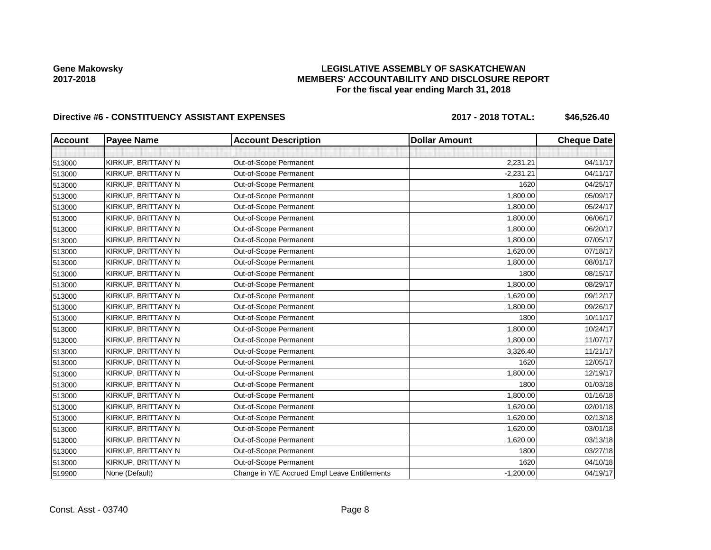### **LEGISLATIVE ASSEMBLY OF SASKATCHEWAN MEMBERS' ACCOUNTABILITY AND DISCLOSURE REPORT For the fiscal year ending March 31, 2018**

## Directive #6 - CONSTITUENCY ASSISTANT EXPENSES 2017 - 2018 TOTAL: \$46,526.40

| <b>Account</b> | <b>Payee Name</b>  | <b>Account Description</b>                    | <b>Dollar Amount</b> | <b>Cheque Date</b> |
|----------------|--------------------|-----------------------------------------------|----------------------|--------------------|
|                |                    |                                               |                      |                    |
| 513000         | KIRKUP, BRITTANY N | Out-of-Scope Permanent                        | 2,231.21             | 04/11/17           |
| 513000         | KIRKUP, BRITTANY N | Out-of-Scope Permanent                        | $-2,231.21$          | 04/11/17           |
| 513000         | KIRKUP, BRITTANY N | Out-of-Scope Permanent                        | 1620                 | 04/25/17           |
| 513000         | KIRKUP, BRITTANY N | Out-of-Scope Permanent                        | 1,800.00             | 05/09/17           |
| 513000         | KIRKUP, BRITTANY N | Out-of-Scope Permanent                        | 1,800.00             | 05/24/17           |
| 513000         | KIRKUP, BRITTANY N | Out-of-Scope Permanent                        | 1,800.00             | 06/06/17           |
| 513000         | KIRKUP, BRITTANY N | Out-of-Scope Permanent                        | 1,800.00             | 06/20/17           |
| 513000         | KIRKUP, BRITTANY N | Out-of-Scope Permanent                        | 1,800.00             | 07/05/17           |
| 513000         | KIRKUP, BRITTANY N | Out-of-Scope Permanent                        | 1,620.00             | 07/18/17           |
| 513000         | KIRKUP, BRITTANY N | Out-of-Scope Permanent                        | 1,800.00             | 08/01/17           |
| 513000         | KIRKUP, BRITTANY N | Out-of-Scope Permanent                        | 1800                 | 08/15/17           |
| 513000         | KIRKUP, BRITTANY N | Out-of-Scope Permanent                        | 1,800.00             | 08/29/17           |
| 513000         | KIRKUP, BRITTANY N | Out-of-Scope Permanent                        | 1,620.00             | 09/12/17           |
| 513000         | KIRKUP, BRITTANY N | Out-of-Scope Permanent                        | 1,800.00             | 09/26/17           |
| 513000         | KIRKUP, BRITTANY N | Out-of-Scope Permanent                        | 1800                 | 10/11/17           |
| 513000         | KIRKUP, BRITTANY N | Out-of-Scope Permanent                        | 1,800.00             | 10/24/17           |
| 513000         | KIRKUP, BRITTANY N | Out-of-Scope Permanent                        | 1,800.00             | 11/07/17           |
| 513000         | KIRKUP, BRITTANY N | Out-of-Scope Permanent                        | 3,326.40             | 11/21/17           |
| 513000         | KIRKUP, BRITTANY N | Out-of-Scope Permanent                        | 1620                 | 12/05/17           |
| 513000         | KIRKUP, BRITTANY N | Out-of-Scope Permanent                        | 1,800.00             | 12/19/17           |
| 513000         | KIRKUP, BRITTANY N | Out-of-Scope Permanent                        | 1800                 | 01/03/18           |
| 513000         | KIRKUP, BRITTANY N | Out-of-Scope Permanent                        | 1,800.00             | 01/16/18           |
| 513000         | KIRKUP, BRITTANY N | Out-of-Scope Permanent                        | 1,620.00             | 02/01/18           |
| 513000         | KIRKUP, BRITTANY N | Out-of-Scope Permanent                        | 1,620.00             | 02/13/18           |
| 513000         | KIRKUP, BRITTANY N | Out-of-Scope Permanent                        | 1,620.00             | 03/01/18           |
| 513000         | KIRKUP, BRITTANY N | Out-of-Scope Permanent                        | 1,620.00             | 03/13/18           |
| 513000         | KIRKUP, BRITTANY N | Out-of-Scope Permanent                        | 1800                 | 03/27/18           |
| 513000         | KIRKUP, BRITTANY N | Out-of-Scope Permanent                        | 1620                 | 04/10/18           |
| 519900         | None (Default)     | Change in Y/E Accrued Empl Leave Entitlements | $-1,200.00$          | 04/19/17           |